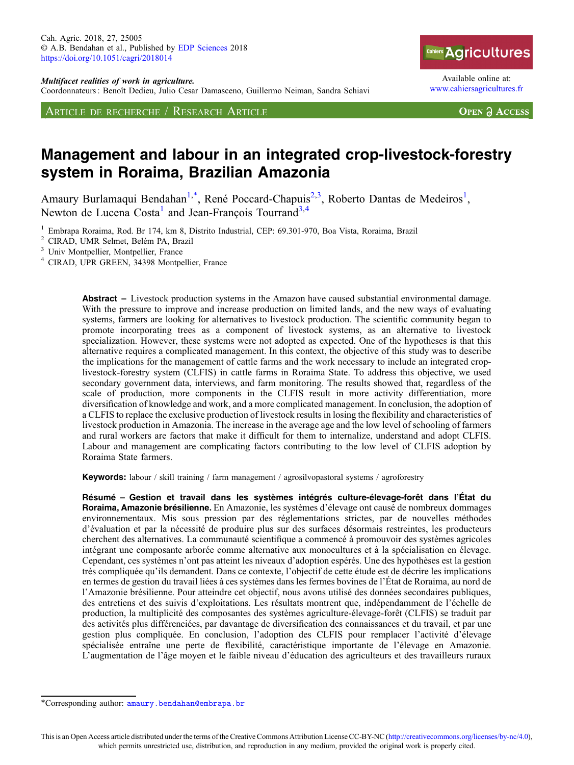Coordonnateurs : Benoît Dedieu, Julio Cesar Damasceno, Guillermo Neiman, Sandra Schiavi

ARTICLE DE RECHERCHE / RESEARCH ARTICLE



Available online at: [www.cahiersagricultures.fr](https://www.cahiersagricultures.fr)

**OPEN A ACCESS** 

# Management and labour in an integrated crop-livestock-forestry system in Roraima, Brazilian Amazonia

Amaury Burlamaqui Bendahan<sup>1,\*</sup>, René Poccard-Chapuis<sup>2,3</sup>, Roberto Dantas de Medeiros<sup>1</sup>, Newton de Lucena  $Costa<sup>1</sup>$  and Jean-François Tourrand<sup>3,4</sup>

<sup>1</sup> Embrapa Roraima, Rod. Br 174, km 8, Distrito Industrial, CEP: 69.301-970, Boa Vista, Roraima, Brazil<sup>2</sup> CIRAD, UMR Selmet, Belém PA, Brazil<br><sup>3</sup> Univ Montpellier, Montpellier, France<br><sup>4</sup> CIRAD, UPR GREEN, 34398 Montpel

Abstract – Livestock production systems in the Amazon have caused substantial environmental damage. With the pressure to improve and increase production on limited lands, and the new ways of evaluating systems, farmers are looking for alternatives to livestock production. The scientific community began to promote incorporating trees as a component of livestock systems, as an alternative to livestock specialization. However, these systems were not adopted as expected. One of the hypotheses is that this alternative requires a complicated management. In this context, the objective of this study was to describe the implications for the management of cattle farms and the work necessary to include an integrated croplivestock-forestry system (CLFIS) in cattle farms in Roraima State. To address this objective, we used secondary government data, interviews, and farm monitoring. The results showed that, regardless of the scale of production, more components in the CLFIS result in more activity differentiation, more diversification of knowledge and work, and a more complicated management. In conclusion, the adoption of a CLFIS to replace the exclusive production of livestock results in losing the flexibility and characteristics of livestock production in Amazonia. The increase in the average age and the low level of schooling of farmers and rural workers are factors that make it difficult for them to internalize, understand and adopt CLFIS. Labour and management are complicating factors contributing to the low level of CLFIS adoption by Roraima State farmers.

Keywords: labour / skill training / farm management / agrosilvopastoral systems / agroforestry

Résumé – Gestion et travail dans les systèmes intégrés culture-élevage-forêt dans l'État du Roraima, Amazonie brésilienne. En Amazonie, les systèmes d'élevage ont causé de nombreux dommages environnementaux. Mis sous pression par des réglementations strictes, par de nouvelles méthodes d'évaluation et par la nécessité de produire plus sur des surfaces désormais restreintes, les producteurs cherchent des alternatives. La communauté scientifique a commencé à promouvoir des systèmes agricoles intégrant une composante arborée comme alternative aux monocultures et à la spécialisation en élevage. Cependant, ces systèmes n'ont pas atteint les niveaux d'adoption espérés. Une des hypothèses est la gestion très compliquée qu'ils demandent. Dans ce contexte, l'objectif de cette étude est de décrire les implications en termes de gestion du travail liées à ces systèmes dans les fermes bovines de l'État de Roraima, au nord de l'Amazonie brésilienne. Pour atteindre cet objectif, nous avons utilisé des données secondaires publiques, des entretiens et des suivis d'exploitations. Les résultats montrent que, indépendamment de l'échelle de production, la multiplicité des composantes des systèmes agriculture-élevage-forêt (CLFIS) se traduit par des activités plus différenciées, par davantage de diversification des connaissances et du travail, et par une gestion plus compliquée. En conclusion, l'adoption des CLFIS pour remplacer l'activité d'élevage spécialisée entraîne une perte de flexibilité, caractéristique importante de l'élevage en Amazonie. L'augmentation de l'âge moyen et le faible niveau d'éducation des agriculteurs et des travailleurs ruraux

<sup>\*</sup>Corresponding author: [amaury.bendahan@embrapa.br](mailto:amaury.bendahan@embrapa.br)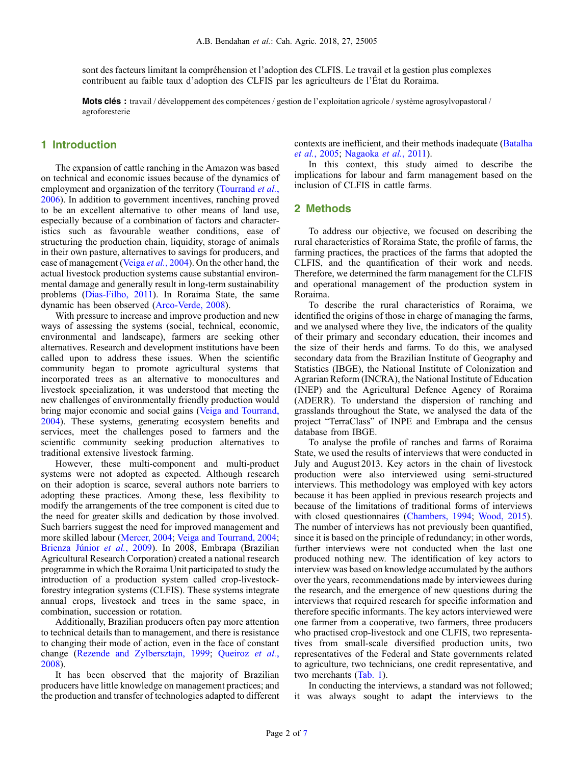sont des facteurs limitant la compréhension et l'adoption des CLFIS. Le travail et la gestion plus complexes contribuent au faible taux d'adoption des CLFIS par les agriculteurs de l'État du Roraima.

Mots clés : travail / développement des compétences / gestion de l'exploitation agricole / système agrosylvopastoral / agroforesterie

### 1 Introduction

The expansion of cattle ranching in the Amazon was based on technical and economic issues because of the dynamics of employment and organization of the territory [\(Tourrand](#page-6-0) et al., [2006](#page-6-0)). In addition to government incentives, ranching proved to be an excellent alternative to other means of land use, especially because of a combination of factors and characteristics such as favourable weather conditions, ease of structuring the production chain, liquidity, storage of animals in their own pasture, alternatives to savings for producers, and ease of management (Veiga et al.[, 2004\)](#page-6-0). On the other hand, the actual livestock production systems cause substantial environmental damage and generally result in long-term sustainability problems [\(Dias-Filho, 2011\)](#page-5-0). In Roraima State, the same dynamic has been observed [\(Arco-Verde, 2008\)](#page-5-0).

With pressure to increase and improve production and new ways of assessing the systems (social, technical, economic, environmental and landscape), farmers are seeking other alternatives. Research and development institutions have been called upon to address these issues. When the scientific community began to promote agricultural systems that incorporated trees as an alternative to monocultures and livestock specialization, it was understood that meeting the new challenges of environmentally friendly production would bring major economic and social gains [\(Veiga and Tourrand,](#page-6-0) [2004](#page-6-0)). These systems, generating ecosystem benefits and services, meet the challenges posed to farmers and the scientific community seeking production alternatives to traditional extensive livestock farming.

However, these multi-component and multi-product systems were not adopted as expected. Although research on their adoption is scarce, several authors note barriers to adopting these practices. Among these, less flexibility to modify the arrangements of the tree component is cited due to the need for greater skills and dedication by those involved. Such barriers suggest the need for improved management and more skilled labour ([Mercer, 2004;](#page-5-0) [Veiga and Tourrand, 2004](#page-6-0); [Brienza J](#page-5-0)únior et al., 2009). In 2008, Embrapa (Brazilian Agricultural Research Corporation) created a national research programme in which the Roraima Unit participated to study the introduction of a production system called crop-livestockforestry integration systems (CLFIS). These systems integrate annual crops, livestock and trees in the same space, in combination, succession or rotation.

Additionally, Brazilian producers often pay more attention to technical details than to management, and there is resistance to changing their mode of action, even in the face of constant change ([Rezende and Zylbersztajn, 1999;](#page-5-0) [Queiroz](#page-5-0) et al., [2008](#page-5-0)).

It has been observed that the majority of Brazilian producers have little knowledge on management practices; and the production and transfer of technologies adapted to different contexts are inefficient, and their methods inadequate [\(Batalha](#page-5-0) et al.[, 2005;](#page-5-0) [Nagaoka](#page-5-0) et al., 2011).

In this context, this study aimed to describe the implications for labour and farm management based on the inclusion of CLFIS in cattle farms.

## 2 Methods

To address our objective, we focused on describing the rural characteristics of Roraima State, the profile of farms, the farming practices, the practices of the farms that adopted the CLFIS, and the quantification of their work and needs. Therefore, we determined the farm management for the CLFIS and operational management of the production system in Roraima.

To describe the rural characteristics of Roraima, we identified the origins of those in charge of managing the farms, and we analysed where they live, the indicators of the quality of their primary and secondary education, their incomes and the size of their herds and farms. To do this, we analysed secondary data from the Brazilian Institute of Geography and Statistics (IBGE), the National Institute of Colonization and Agrarian Reform (INCRA), the National Institute of Education (INEP) and the Agricultural Defence Agency of Roraima (ADERR). To understand the dispersion of ranching and grasslands throughout the State, we analysed the data of the project "TerraClass" of INPE and Embrapa and the census database from IBGE.

To analyse the profile of ranches and farms of Roraima State, we used the results of interviews that were conducted in July and August 2013. Key actors in the chain of livestock production were also interviewed using semi-structured interviews. This methodology was employed with key actors because it has been applied in previous research projects and because of the limitations of traditional forms of interviews with closed questionnaires [\(Chambers, 1994;](#page-5-0) [Wood, 2015\)](#page-6-0). The number of interviews has not previously been quantified, since it is based on the principle of redundancy; in other words, further interviews were not conducted when the last one produced nothing new. The identification of key actors to interview was based on knowledge accumulated by the authors over the years, recommendations made by interviewees during the research, and the emergence of new questions during the interviews that required research for specific information and therefore specific informants. The key actors interviewed were one farmer from a cooperative, two farmers, three producers who practised crop-livestock and one CLFIS, two representatives from small-scale diversified production units, two representatives of the Federal and State governments related to agriculture, two technicians, one credit representative, and two merchants [\(Tab. 1\)](#page-2-0).

In conducting the interviews, a standard was not followed; it was always sought to adapt the interviews to the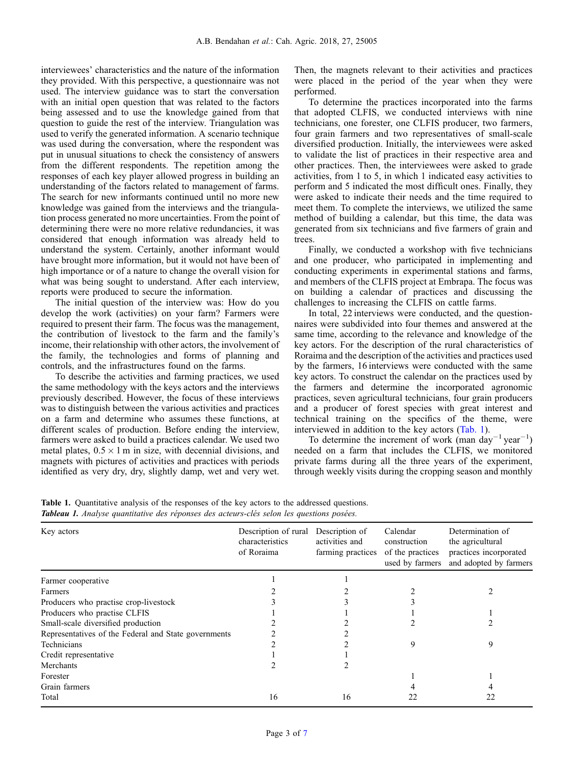<span id="page-2-0"></span>interviewees' characteristics and the nature of the information they provided. With this perspective, a questionnaire was not used. The interview guidance was to start the conversation with an initial open question that was related to the factors being assessed and to use the knowledge gained from that question to guide the rest of the interview. Triangulation was used to verify the generated information. A scenario technique was used during the conversation, where the respondent was put in unusual situations to check the consistency of answers from the different respondents. The repetition among the responses of each key player allowed progress in building an understanding of the factors related to management of farms. The search for new informants continued until no more new knowledge was gained from the interviews and the triangulation process generated no more uncertainties. From the point of determining there were no more relative redundancies, it was considered that enough information was already held to understand the system. Certainly, another informant would have brought more information, but it would not have been of high importance or of a nature to change the overall vision for what was being sought to understand. After each interview, reports were produced to secure the information.

The initial question of the interview was: How do you develop the work (activities) on your farm? Farmers were required to present their farm. The focus was the management, the contribution of livestock to the farm and the family's income, their relationship with other actors, the involvement of the family, the technologies and forms of planning and controls, and the infrastructures found on the farms.

To describe the activities and farming practices, we used the same methodology with the keys actors and the interviews previously described. However, the focus of these interviews was to distinguish between the various activities and practices on a farm and determine who assumes these functions, at different scales of production. Before ending the interview, farmers were asked to build a practices calendar. We used two metal plates,  $0.5 \times 1$  m in size, with decennial divisions, and magnets with pictures of activities and practices with periods identified as very dry, dry, slightly damp, wet and very wet. Then, the magnets relevant to their activities and practices were placed in the period of the year when they were performed.

To determine the practices incorporated into the farms that adopted CLFIS, we conducted interviews with nine technicians, one forester, one CLFIS producer, two farmers, four grain farmers and two representatives of small-scale diversified production. Initially, the interviewees were asked to validate the list of practices in their respective area and other practices. Then, the interviewees were asked to grade activities, from 1 to 5, in which 1 indicated easy activities to perform and 5 indicated the most difficult ones. Finally, they were asked to indicate their needs and the time required to meet them. To complete the interviews, we utilized the same method of building a calendar, but this time, the data was generated from six technicians and five farmers of grain and trees.

Finally, we conducted a workshop with five technicians and one producer, who participated in implementing and conducting experiments in experimental stations and farms, and members of the CLFIS project at Embrapa. The focus was on building a calendar of practices and discussing the challenges to increasing the CLFIS on cattle farms.

In total, 22 interviews were conducted, and the questionnaires were subdivided into four themes and answered at the same time, according to the relevance and knowledge of the key actors. For the description of the rural characteristics of Roraima and the description of the activities and practices used by the farmers, 16 interviews were conducted with the same key actors. To construct the calendar on the practices used by the farmers and determine the incorporated agronomic practices, seven agricultural technicians, four grain producers and a producer of forest species with great interest and technical training on the specifics of the theme, were interviewed in addition to the key actors (Tab. 1).

To determine the increment of work (man day<sup>-1</sup> year<sup>-1</sup>) needed on a farm that includes the CLFIS, we monitored private farms during all the three years of the experiment, through weekly visits during the cropping season and monthly

Table 1. Quantitative analysis of the responses of the key actors to the addressed questions. Tableau 1. Analyse quantitative des réponses des acteurs-clés selon les questions posées.

| Key actors                                           | Description of rural<br>characteristics<br>of Roraima | Description of<br>activities and<br>farming practices | Calendar<br>construction<br>of the practices<br>used by farmers | Determination of<br>the agricultural<br>practices incorporated<br>and adopted by farmers |
|------------------------------------------------------|-------------------------------------------------------|-------------------------------------------------------|-----------------------------------------------------------------|------------------------------------------------------------------------------------------|
| Farmer cooperative                                   |                                                       |                                                       |                                                                 |                                                                                          |
| Farmers                                              |                                                       |                                                       |                                                                 |                                                                                          |
| Producers who practise crop-livestock                |                                                       |                                                       |                                                                 |                                                                                          |
| Producers who practise CLFIS                         |                                                       |                                                       |                                                                 |                                                                                          |
| Small-scale diversified production                   |                                                       |                                                       |                                                                 |                                                                                          |
| Representatives of the Federal and State governments |                                                       |                                                       |                                                                 |                                                                                          |
| Technicians                                          |                                                       |                                                       | 9                                                               | 9                                                                                        |
| Credit representative                                |                                                       |                                                       |                                                                 |                                                                                          |
| Merchants                                            |                                                       |                                                       |                                                                 |                                                                                          |
| Forester                                             |                                                       |                                                       |                                                                 |                                                                                          |
| Grain farmers                                        |                                                       |                                                       |                                                                 |                                                                                          |
| Total                                                | 16                                                    | 16                                                    | 22                                                              |                                                                                          |
|                                                      |                                                       |                                                       |                                                                 |                                                                                          |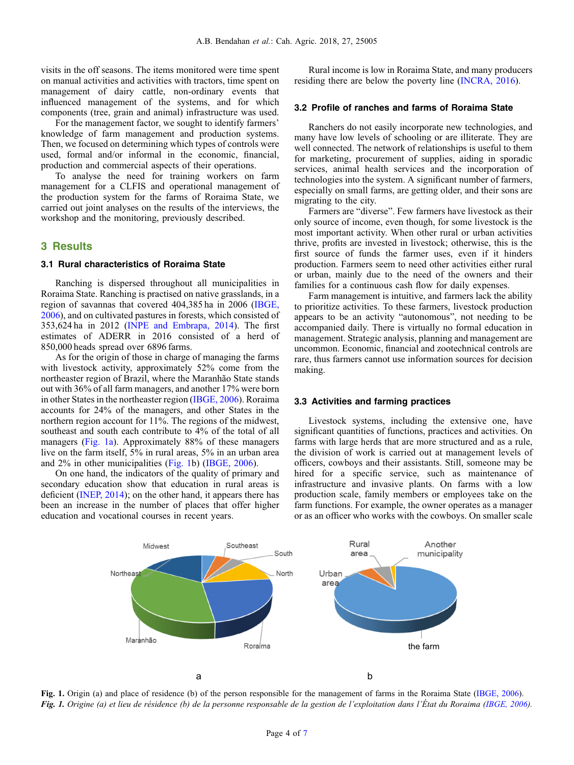visits in the off seasons. The items monitored were time spent on manual activities and activities with tractors, time spent on management of dairy cattle, non-ordinary events that influenced management of the systems, and for which components (tree, grain and animal) infrastructure was used.

For the management factor, we sought to identify farmers' knowledge of farm management and production systems. Then, we focused on determining which types of controls were used, formal and/or informal in the economic, financial, production and commercial aspects of their operations.

To analyse the need for training workers on farm management for a CLFIS and operational management of the production system for the farms of Roraima State, we carried out joint analyses on the results of the interviews, the workshop and the monitoring, previously described.

#### 3 Results

#### 3.1 Rural characteristics of Roraima State

Ranching is dispersed throughout all municipalities in Roraima State. Ranching is practised on native grasslands, in a region of savannas that covered 404,385 ha in 2006 [\(IBGE,](#page-5-0) [2006](#page-5-0)), and on cultivated pastures in forests, which consisted of 353,624 ha in 2012 [\(INPE and Embrapa, 2014\)](#page-5-0). The first estimates of ADERR in 2016 consisted of a herd of 850,000 heads spread over 6896 farms.

As for the origin of those in charge of managing the farms with livestock activity, approximately 52% come from the northeaster region of Brazil, where the Maranhão State stands out with 36% of all farm managers, and another 17% were born in other States in the northeaster region [\(IBGE, 2006\)](#page-5-0). Roraima accounts for 24% of the managers, and other States in the northern region account for 11%. The regions of the midwest, southeast and south each contribute to 4% of the total of all managers (Fig. 1a). Approximately 88% of these managers live on the farm itself, 5% in rural areas, 5% in an urban area and 2% in other municipalities (Fig. 1b) ([IBGE, 2006\)](#page-5-0).

On one hand, the indicators of the quality of primary and secondary education show that education in rural areas is deficient ([INEP, 2014\)](#page-5-0); on the other hand, it appears there has been an increase in the number of places that offer higher education and vocational courses in recent years.

Rural income is low in Roraima State, and many producers residing there are below the poverty line [\(INCRA, 2016\)](#page-5-0).

## 3.2 Profile of ranches and farms of Roraima State

Ranchers do not easily incorporate new technologies, and many have low levels of schooling or are illiterate. They are well connected. The network of relationships is useful to them for marketing, procurement of supplies, aiding in sporadic services, animal health services and the incorporation of technologies into the system. A significant number of farmers, especially on small farms, are getting older, and their sons are migrating to the city.

Farmers are "diverse". Few farmers have livestock as their only source of income, even though, for some livestock is the most important activity. When other rural or urban activities thrive, profits are invested in livestock; otherwise, this is the first source of funds the farmer uses, even if it hinders production. Farmers seem to need other activities either rural or urban, mainly due to the need of the owners and their families for a continuous cash flow for daily expenses.

Farm management is intuitive, and farmers lack the ability to prioritize activities. To these farmers, livestock production appears to be an activity "autonomous", not needing to be accompanied daily. There is virtually no formal education in management. Strategic analysis, planning and management are uncommon. Economic, financial and zootechnical controls are rare, thus farmers cannot use information sources for decision making.

#### 3.3 Activities and farming practices

Livestock systems, including the extensive one, have significant quantities of functions, practices and activities. On farms with large herds that are more structured and as a rule, the division of work is carried out at management levels of officers, cowboys and their assistants. Still, someone may be hired for a specific service, such as maintenance of infrastructure and invasive plants. On farms with a low production scale, family members or employees take on the farm functions. For example, the owner operates as a manager or as an officer who works with the cowboys. On smaller scale



Fig. 1. Origin (a) and place of residence (b) of the person responsible for the management of farms in the Roraima State ([IBGE, 2006\)](#page-5-0). Fig. 1. Origine (a) et lieu de résidence (b) de la personne responsable de la gestion de l'exploitation dans l'État du Roraima [\(IBGE, 2006\)](#page-5-0).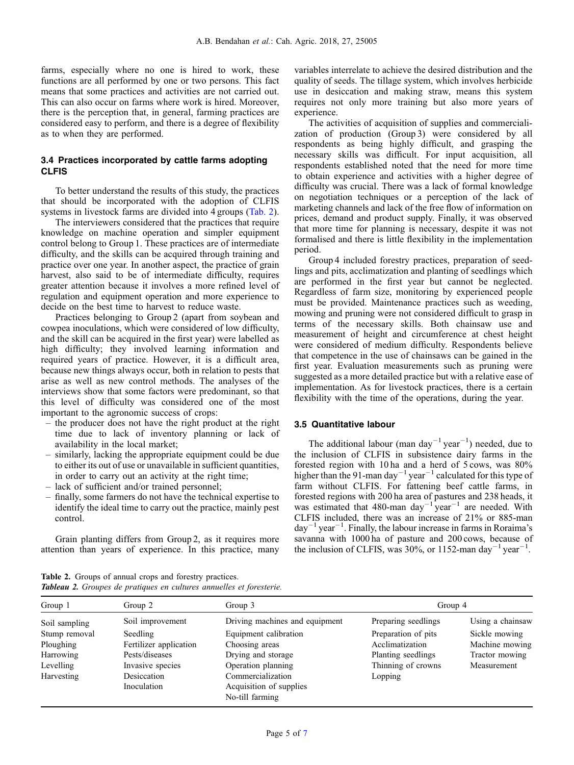farms, especially where no one is hired to work, these functions are all performed by one or two persons. This fact means that some practices and activities are not carried out. This can also occur on farms where work is hired. Moreover, there is the perception that, in general, farming practices are considered easy to perform, and there is a degree of flexibility as to when they are performed.

#### 3.4 Practices incorporated by cattle farms adopting CLFIS

To better understand the results of this study, the practices that should be incorporated with the adoption of CLFIS systems in livestock farms are divided into 4 groups (Tab. 2).

The interviewers considered that the practices that require knowledge on machine operation and simpler equipment control belong to Group 1. These practices are of intermediate difficulty, and the skills can be acquired through training and practice over one year. In another aspect, the practice of grain harvest, also said to be of intermediate difficulty, requires greater attention because it involves a more refined level of regulation and equipment operation and more experience to decide on the best time to harvest to reduce waste.

Practices belonging to Group 2 (apart from soybean and cowpea inoculations, which were considered of low difficulty, and the skill can be acquired in the first year) were labelled as high difficulty; they involved learning information and required years of practice. However, it is a difficult area, because new things always occur, both in relation to pests that arise as well as new control methods. The analyses of the interviews show that some factors were predominant, so that this level of difficulty was considered one of the most important to the agronomic success of crops:

- the producer does not have the right product at the right time due to lack of inventory planning or lack of availability in the local market;
- similarly, lacking the appropriate equipment could be due to either its out of use or unavailable in sufficient quantities, in order to carry out an activity at the right time;
- lack of sufficient and/or trained personnel;
- finally, some farmers do not have the technical expertise to identify the ideal time to carry out the practice, mainly pest control.

Grain planting differs from Group 2, as it requires more attention than years of experience. In this practice, many variables interrelate to achieve the desired distribution and the quality of seeds. The tillage system, which involves herbicide use in desiccation and making straw, means this system requires not only more training but also more years of experience.

The activities of acquisition of supplies and commercialization of production (Group 3) were considered by all respondents as being highly difficult, and grasping the necessary skills was difficult. For input acquisition, all respondents established noted that the need for more time to obtain experience and activities with a higher degree of difficulty was crucial. There was a lack of formal knowledge on negotiation techniques or a perception of the lack of marketing channels and lack of the free flow of information on prices, demand and product supply. Finally, it was observed that more time for planning is necessary, despite it was not formalised and there is little flexibility in the implementation period.

Group 4 included forestry practices, preparation of seedlings and pits, acclimatization and planting of seedlings which are performed in the first year but cannot be neglected. Regardless of farm size, monitoring by experienced people must be provided. Maintenance practices such as weeding, mowing and pruning were not considered difficult to grasp in terms of the necessary skills. Both chainsaw use and measurement of height and circumference at chest height were considered of medium difficulty. Respondents believe that competence in the use of chainsaws can be gained in the first year. Evaluation measurements such as pruning were suggested as a more detailed practice but with a relative ease of implementation. As for livestock practices, there is a certain flexibility with the time of the operations, during the year.

## 3.5 Quantitative labour

The additional labour (man day<sup>-1</sup> year<sup>-1</sup>) needed, due to the inclusion of CLFIS in subsistence dairy farms in the forested region with 10 ha and a herd of 5 cows, was 80% higher than the 91-man day<sup>-1</sup> year<sup>-1</sup> calculated for this type of farm without CLFIS. For fattening beef cattle farms, in forested regions with 200 ha area of pastures and 238 heads, it was estimated that 480-man day<sup>-1</sup> year<sup>-1</sup> are needed. With CLFIS included, there was an increase of 21% or 885-man  $day^{-1}year^{-1}$ . Finally, the labour increase in farms in Roraima's savanna with 1000 ha of pasture and 200 cows, because of the inclusion of CLFIS, was 30%, or 1152-man day<sup>-1</sup> year<sup>-1</sup>.

Table 2. Groups of annual crops and forestry practices. Tableau 2. Groupes de pratiques en cultures annuelles et foresterie.

| Group 1       | Group 2                | Group 3                        | Group 4             |                  |
|---------------|------------------------|--------------------------------|---------------------|------------------|
| Soil sampling | Soil improvement       | Driving machines and equipment | Preparing seedlings | Using a chainsaw |
| Stump removal | Seedling               | Equipment calibration          | Preparation of pits | Sickle mowing    |
| Ploughing     | Fertilizer application | Choosing areas                 | Acclimatization     | Machine mowing   |
| Harrowing     | Pests/diseases         | Drying and storage             | Planting seedlings  | Tractor mowing   |
| Levelling     | Invasive species       | Operation planning             | Thinning of crowns  | Measurement      |
| Harvesting    | Desiccation            | Commercialization              | Lopping             |                  |
|               | Inoculation            | Acquisition of supplies        |                     |                  |
|               |                        | No-till farming                |                     |                  |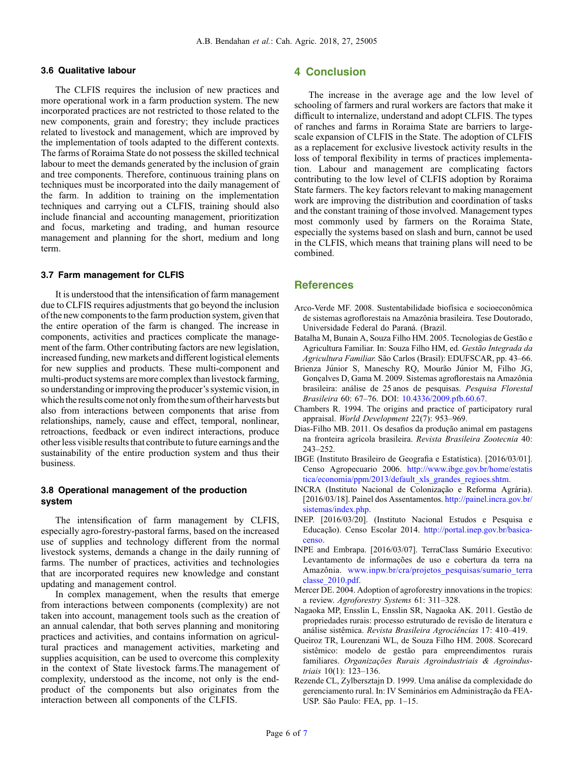#### <span id="page-5-0"></span>3.6 Qualitative labour

The CLFIS requires the inclusion of new practices and more operational work in a farm production system. The new incorporated practices are not restricted to those related to the new components, grain and forestry; they include practices related to livestock and management, which are improved by the implementation of tools adapted to the different contexts. The farms of Roraima State do not possess the skilled technical labour to meet the demands generated by the inclusion of grain and tree components. Therefore, continuous training plans on techniques must be incorporated into the daily management of the farm. In addition to training on the implementation techniques and carrying out a CLFIS, training should also include financial and accounting management, prioritization and focus, marketing and trading, and human resource management and planning for the short, medium and long term.

#### 3.7 Farm management for CLFIS

It is understood that the intensification of farm management due to CLFIS requires adjustments that go beyond the inclusion of the new components to the farm production system, given that the entire operation of the farm is changed. The increase in components, activities and practices complicate the management of the farm. Other contributing factors are new legislation, increased funding, new markets and different logistical elements for new supplies and products. These multi-component and multi-product systems are more complex than livestock farming, so understanding or improving the producer's systemic vision, in whichthe results come not only fromthe sum oftheir harvests but also from interactions between components that arise from relationships, namely, cause and effect, temporal, nonlinear, retroactions, feedback or even indirect interactions, produce other less visible results that contribute to future earnings and the sustainability of the entire production system and thus their business.

#### 3.8 Operational management of the production system

The intensification of farm management by CLFIS, especially agro-forestry-pastoral farms, based on the increased use of supplies and technology different from the normal livestock systems, demands a change in the daily running of farms. The number of practices, activities and technologies that are incorporated requires new knowledge and constant updating and management control.

In complex management, when the results that emerge from interactions between components (complexity) are not taken into account, management tools such as the creation of an annual calendar, that both serves planning and monitoring practices and activities, and contains information on agricultural practices and management activities, marketing and supplies acquisition, can be used to overcome this complexity in the context of State livestock farms.The management of complexity, understood as the income, not only is the endproduct of the components but also originates from the interaction between all components of the CLFIS.

## 4 Conclusion

The increase in the average age and the low level of schooling of farmers and rural workers are factors that make it difficult to internalize, understand and adopt CLFIS. The types of ranches and farms in Roraima State are barriers to largescale expansion of CLFIS in the State. The adoption of CLFIS as a replacement for exclusive livestock activity results in the loss of temporal flexibility in terms of practices implementation. Labour and management are complicating factors contributing to the low level of CLFIS adoption by Roraima State farmers. The key factors relevant to making management work are improving the distribution and coordination of tasks and the constant training of those involved. Management types most commonly used by farmers on the Roraima State, especially the systems based on slash and burn, cannot be used in the CLFIS, which means that training plans will need to be combined.

#### **References**

- Arco-Verde MF. 2008. Sustentabilidade biofísica e socioeconômica de sistemas agroflorestais na Amazônia brasileira. Tese Doutorado, Universidade Federal do Paraná. (Brazil.
- Batalha M, Bunain A, Souza Filho HM. 2005. Tecnologias de Gestão e Agricultura Familiar. In: Souza Filho HM, ed. Gestão Integrada da Agricultura Familiar. São Carlos (Brasil): EDUFSCAR, pp. 43–66.
- Brienza Júnior S, Maneschy RQ, Mourão Júnior M, Filho JG, Gonçalves D, Gama M. 2009. Sistemas agroflorestais na Amazônia brasileira: análise de 25 anos de pesquisas. Pesquisa Florestal Brasileira 60: 67–76. DOI: [10.4336/2009.pfb.60.67](https://doi.org/10.4336/2009.pfb.60.67).
- Chambers R. 1994. The origins and practice of participatory rural appraisal. World Development 22(7): 953–969.
- Dias-Filho MB. 2011. Os desafios da produção animal em pastagens na fronteira agrícola brasileira. Revista Brasileira Zootecnia 40: 243–252.
- IBGE (Instituto Brasileiro de Geografia e Estatística). [2016/03/01]. Censo Agropecuario 2006. [http://www.ibge.gov.br/home/estatis](http://www.ibge.gov.br/home/estatistica/economia/ppm/2013/default_xls_grandes_regioes.shtm) [tica/economia/ppm/2013/default\\_xls\\_grandes\\_regioes.shtm](http://www.ibge.gov.br/home/estatistica/economia/ppm/2013/default_xls_grandes_regioes.shtm).
- INCRA (Instituto Nacional de Colonização e Reforma Agrária). [2016/03/18]. Painel dos Assentamentos. [http://painel.incra.gov.br/](http://painel.incra.gov.br/sistemas/index.php) [sistemas/index.php.](http://painel.incra.gov.br/sistemas/index.php)
- INEP. [2016/03/20]. (Instituto Nacional Estudos e Pesquisa e Educação). Censo Escolar 2014. [http://portal.inep.gov.br/basica](http://portal.inep.gov.br/basica-censo)[censo.](http://portal.inep.gov.br/basica-censo)
- INPE and Embrapa. [2016/03/07]. TerraClass Sumário Executivo: Levantamento de informações de uso e cobertura da terra na Amazônia. [www.inpw.br/cra/projetos\\_pesquisas/sumario\\_terra](http://www.inpw.br/cra/projetos_pesquisas/sumario_terraclasse_2010.pdf) [classe\\_2010.pdf](http://www.inpw.br/cra/projetos_pesquisas/sumario_terraclasse_2010.pdf).
- Mercer DE. 2004. Adoption of agroforestry innovations in the tropics: a review. Agroforestry Systems 61: 311–328.
- Nagaoka MP, Ensslin L, Ensslin SR, Nagaoka AK. 2011. Gestão de propriedades rurais: processo estruturado de revisão de literatura e análise sistêmica. Revista Brasileira Agrociências 17: 410–419.
- Queiroz TR, Lourenzani WL, de Souza Filho HM. 2008. Scorecard sistêmico: modelo de gestão para empreendimentos rurais familiares. Organizações Rurais Agroindustriais & Agroindustriais 10(1): 123–136.
- Rezende CL, Zylbersztajn D. 1999. Uma análise da complexidade do gerenciamento rural. In: IV Seminários em Administração da FEA-USP. São Paulo: FEA, pp. 1–15.